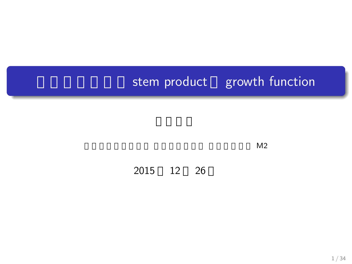# stem product growth function

 $M2$ 

2015 12 26

.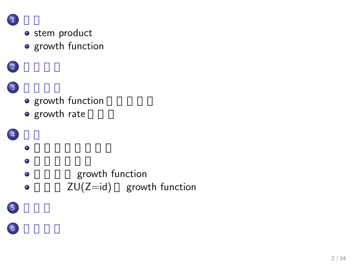

 $\overline{1}$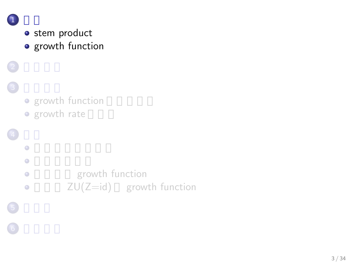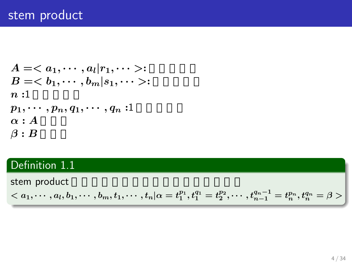# stem product

$$
A =  : \n B = b : \n n : 1 \n p_1, \cdots, p_n, q_1, \cdots, q_n : 1 \n \alpha : A \n \beta : B
$$

# Definition 1.1

stem product

$$

$$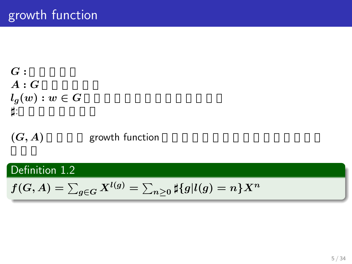$$
\begin{array}{l}G:\\\ A:G\\ l_g(w):w\in G\\ \sharp:\end{array}
$$

 $(G, A)$  growth function

# . Definition 1.2 .

$$
f(G,A)=\textstyle\sum_{g\in G}X^{l(g)}=\sum_{n\geq 0}\sharp\{g|l(g)=n\}X^n
$$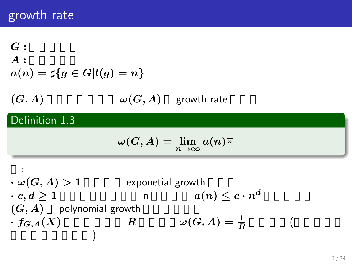# growth rate

# $G:$ *A* **:** 有限生成系  $a(n) = \sharp \{ g \in G | l(g) = n \}$  $\omega(G, A)$   $\omega(G, A)$  growth rate . Definition 1.3 .  $\omega(G, A) = \lim_{n \to \infty} a(n)^{\frac{1}{n}}$ :  $\cdot \omega(G, A) > 1$  exponetial growth *· c, d ≥* **1** が存在し、任意の n に対して *a***(***n***)** *≤ c · n d*  $\alpha$  $(G, A)$  polynomial growth *· fG,A***(***X***)** の収束半径が *R* のとき、*ω***(***G, A***) = <sup>1</sup>** *R* ( アダマールの公式)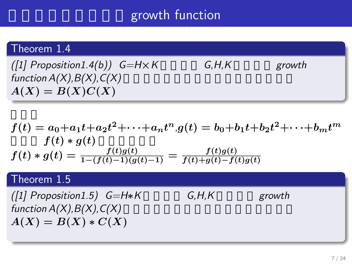# growth function

# . Theorem 1.4

.  $A(X) = B(X)C(X)$  $(f1]$  Proposition1.4(b))  $G=H\times K$  G,H,K sprowth  $function A(X), B(X), C(X)$ 

$$
f(t) = a_0 + a_1t + a_2t^2 + \dots + a_nt^n, g(t) = b_0 + b_1t + b_2t^2 + \dots + b_mt^m
$$
  
\n
$$
f(t) * g(t)
$$
  
\n
$$
f(t) * g(t) = \frac{f(t)g(t)}{1 - (f(t) - 1)(g(t) - 1)} = \frac{f(t)g(t)}{f(t) + g(t) - f(t)g(t)}
$$

# Theorem 1.5

*(*[1] Proposition1.5) G=H∗K G,H,K growth  $function A(X), B(X), C(X)$  $A(X) = B(X) * C(X)$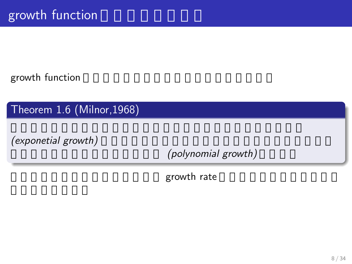growth function

. Theorem 1.6 (Milnor,1968) .

*(exponetial growth)* 

(polynomial growth)

growth rate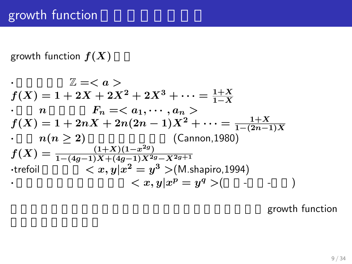growth function  $f(X)$ 

$$
\mathbb{Z} = \langle a \rangle
$$
\n
$$
f(X) = 1 + 2X + 2X^{2} + 2X^{3} + \dots = \frac{1+X}{1-X}
$$
\n
$$
\therefore \quad n \qquad F_{n} = \langle a_{1}, \dots, a_{n} \rangle
$$
\n
$$
f(X) = 1 + 2nX + 2n(2n - 1)X^{2} + \dots = \frac{1+X}{1-(2n-1)X}
$$
\n
$$
\therefore \quad n(n \geq 2) \qquad (\text{Cannon}, 1980)
$$
\n
$$
f(X) = \frac{(1+X)(1-x^{2g})}{1-(4g-1)X+(4g-1)X^{2g}-X^{2g+1}}
$$
\n
$$
\therefore \text{trefoil} \qquad \langle x, y | x^{2} = y^{3} \rangle (\text{M-shapiro}, 1994)
$$
\n
$$
\langle x, y | x^{p} = y^{q} \rangle (\qquad - \qquad )
$$

growth function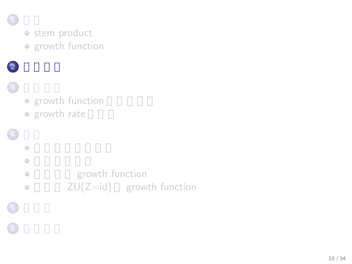

 $\bigodot$ 

· stem product • growth function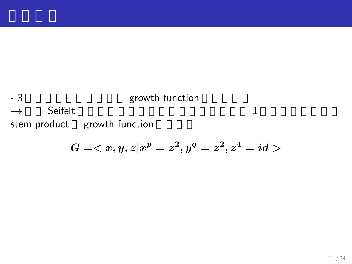## *•* 3 *Seifelt growth function* → Seifelt → Seifelt 1 stem product growth function

$$
G=\,
$$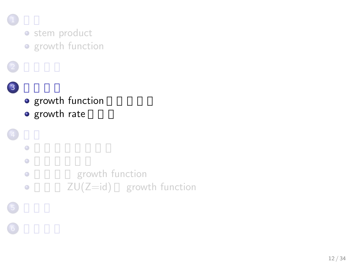

 $\bigodot$ 

 $\overline{2}$ 

• stem product **o** growth function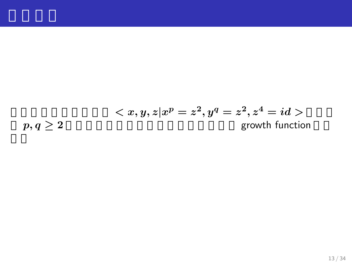$$

$$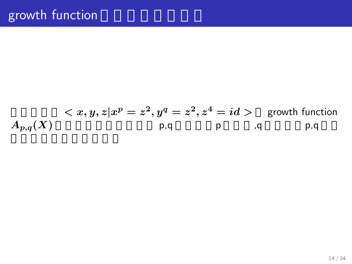$$
\langle x, y, z | x^p = z^2, y^q = z^2, z^4 = id \rangle \quad \text{growth function}
$$
\n
$$
A_{p,q}(X) \qquad \text{p,q} \qquad \text{p,q}
$$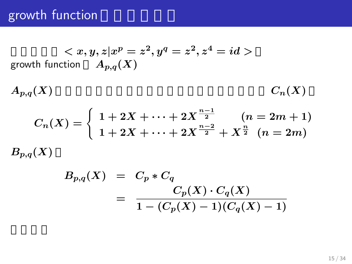$$
\langle x, y, z | x^p = z^2, y^q = z^2, z^4 = id \rangle
$$
  
growth function  $A_{p,q}(X)$ 

$$
A_{p,q}(X) \hspace{3.5cm} C_n(X)
$$

$$
C_n(X) = \begin{cases} 1 + 2X + \dots + 2X^{\frac{n-1}{2}} & (n = 2m + 1) \\ 1 + 2X + \dots + 2X^{\frac{n-2}{2}} + X^{\frac{n}{2}} & (n = 2m) \end{cases}
$$
  

$$
B_{p,q}(X)
$$

$$
B_{p,q}(X) = C_p * C_q
$$
  
= 
$$
\frac{C_p(X) \cdot C_q(X)}{1 - (C_p(X) - 1)(C_q(X) - 1)}
$$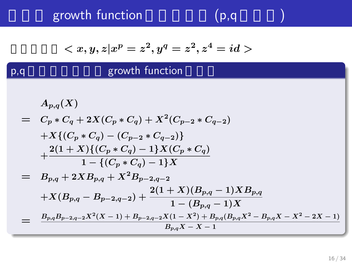growth function

p,q

$$
(\mathsf{p},\mathsf{q} -
$$

$$
\\
$$

### growth function

$$
A_{p,q}(X)
$$
  
=  $C_p * C_q + 2X(C_p * C_q) + X^2(C_{p-2} * C_{q-2})$   
+  $X\{(C_p * C_q) - (C_{p-2} * C_{q-2})\}$   
+  $\frac{2(1+X)\{(C_p * C_q) - 1\}X(C_p * C_q)}{1 - \{(C_p * C_q) - 1\}X}$   
=  $B_{p,q} + 2XB_{p,q} + X^2B_{p-2,q-2}$   
+  $X(B_{p,q} - B_{p-2,q-2}) + \frac{2(1+X)(B_{p,q} - 1)XB_{p,q}}{1 - (B_{p,q} - 1)X}$   
=  $\frac{B_{p,q}B_{p-2,q-2}X^2(X-1) + B_{p-2,q-2}X(1-X^2) + B_{p,q}(B_{p,q}X^2 - B_{p,q}X - X^2 - 2X - 1)}{B_{p,q}X - X - 1}$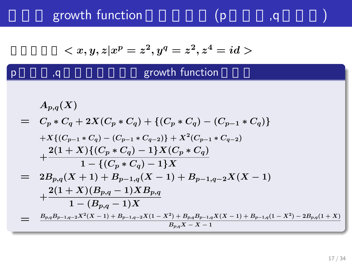growth function  $(p \t q)$ 

p

$$
\\
$$

# $p$  ,q  $q$  . The growth function

$$
A_{p,q}(X) = C_p * C_q + 2X(C_p * C_q) + \{(C_p * C_q) - (C_{p-1} * C_q)\}\
$$
  
+ 
$$
X\{(C_{p-1} * C_q) - (C_{p-1} * C_{q-2})\} + X^2(C_{p-1} * C_{q-2})
$$
  
+ 
$$
\frac{2(1+X)\{(C_p * C_q) - 1\}X(C_p * C_q)}{1 - \{(C_p * C_q) - 1\}X}
$$
  
= 
$$
2B_{p,q}(X+1) + B_{p-1,q}(X-1) + B_{p-1,q-2}X(X-1)
$$
  
+ 
$$
\frac{2(1+X)(B_{p,q} - 1)XB_{p,q}}{1 - (B_{p,q} - 1)X}
$$
  
= 
$$
\frac{B_{p,q}B_{p-1,q-2}X^2(X-1) + B_{p-1,q-2}X(1-X^2) + B_{p,q}B_{p-1,q}X(X-1) + B_{p-1,q}(1-X^2) - 2B_{p,q}(1+X)}{B_{p,q}X - X - 1}
$$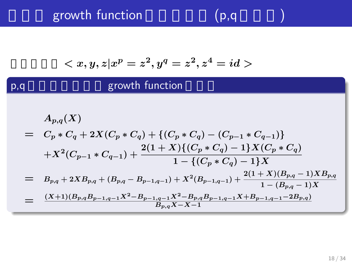# growth function  $(p,q)$

p,q

$$
\\
$$

## growth function

$$
A_{p,q}(X)
$$
  
=  $C_p * C_q + 2X(C_p * C_q) + \{(C_p * C_q) - (C_{p-1} * C_{q-1})\}$   

$$
+ X^2(C_{p-1} * C_{q-1}) + \frac{2(1+X)\{(C_p * C_q) - 1\}X(C_p * C_q)}{1 - \{(C_p * C_q) - 1\}X}
$$
  
=  $B_{p,q} + 2XB_{p,q} + (B_{p,q} - B_{p-1,q-1}) + X^2(B_{p-1,q-1}) + \frac{2(1+X)(B_{p,q} - 1)XB_{p,q}}{1 - (B_{p,q} - 1)X}$   
=  $\frac{(X+1)(B_{p,q}B_{p-1,q-1}X^2 - B_{p-1,q-1}X^2 - B_{p,q}B_{p-1,q-1}X + B_{p-1,q-1} - 2B_{p,q})}{B_{p,q}X - X - 1}$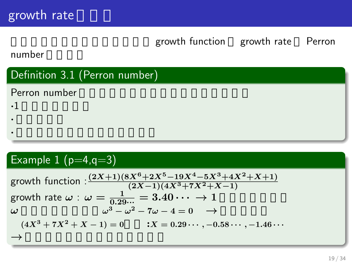growth function growth rate Perron

number

### . Definition 3.1 (Perron number) .

*·* 絶対値が他の共役よりも大きい

Perron number とは、以下の条件を満たする。

*·* 代数的整数

**·**1  $\qquad \qquad$   $\qquad \qquad$   $\qquad \qquad$   $\qquad \qquad$   $\qquad \qquad$   $\qquad \qquad$   $\qquad \qquad$   $\qquad \qquad$   $\qquad \qquad$   $\qquad \qquad$   $\qquad \qquad$   $\qquad \qquad$   $\qquad \qquad$   $\qquad \qquad$   $\qquad \qquad$   $\qquad \qquad$   $\qquad \qquad$   $\qquad \qquad$   $\qquad \qquad$   $\qquad \qquad$   $\qquad \qquad$   $\qquad \qquad$   $\qquad \qquad$   $\qquad \qquad$ 

.

## . Example  $1$   $(p=4, q=3)$

growth function : 
$$
\frac{(2X+1)(8X^6+2X^5-19X^4-5X^3+4X^2+X+1)}{(2X-1)(4X^3+7X^2+X-1)}
$$
growth rate  $\omega$  :  $\omega = \frac{1}{0.29\cdots} = 3.40 \cdots \rightarrow 1$   
\n $\omega$   $\omega^3 - \omega^2 - 7\omega - 4 = 0 \rightarrow$   
\n $(4X^3+7X^2+X-1) = 0$  :  $X = 0.29\cdots, -0.58\cdots, -1.46\cdots$   
\n $\rightarrow$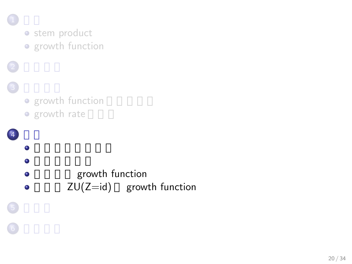

 $\bigodot$ 

• stem product • growth function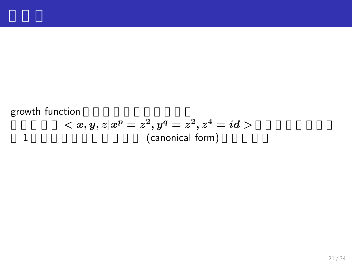### growth function  $< x,y,z \vert x^p = z^2, y^q = z^2, z^4 = id>0$ 1 (canonical form)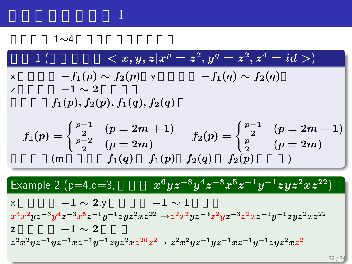# 精製作業

1∼4

$$
1\begin{pmatrix}\n & \langle x, y, z | x^p = z^2, y^q = z^2, z^4 = id \rangle \\
 \times \qquad \qquad -f_1(p) \sim f_2(p) \quad \vee \qquad \qquad -f_1(q) \sim f_2(q) \\
 & \quad -1 \sim 2 \\
 & f_1(p), f_2(p), f_1(q), f_2(q)\n \end{pmatrix}
$$
\n
$$
f_1(p) = \begin{cases}\n\frac{p-1}{2} & (p = 2m + 1) \\
\frac{p-2}{2} & (p = 2m) \\
 & (m \qquad \qquad f_1(q) \quad f_1(p) \quad f_2(q) \quad f_2(p)\n \end{cases}\n\begin{matrix}\n\frac{p-1}{2} & (p = 2m + 1) \\
\frac{p}{2} & (p = 2m)\n \end{matrix}
$$
\n
$$
\begin{matrix}\n\text{Example 2 (p=4, q=3,} & x^6yz^{-3}y^4z^{-3}x^5z^{-1}y^{-1}zyz^2xz^{22}) \\
 & \quad -1 \sim 2, y & -1 \sim 1 \\
x^4x^2yz^{-3}y^4z^{-3}x^5z^{-1}y^{-1}zyz^2xz^{22} \rightarrow z^2x^2yz^{-3}z^2yz^{-3}z^2xz^{-1}y^{-1}zyz^2xz^{22}} \\
 & \quad -1 \sim 2 \\
z^2x^2yz^{-1}yz^{-1}xz^{-1}y^{-1}zyz^2xz^{20}z^2 \rightarrow z^2x^2yz^{-1}yz^{-1}xz^{-1}y^{-1}zyz^2xz^{2}\n \end{matrix}
$$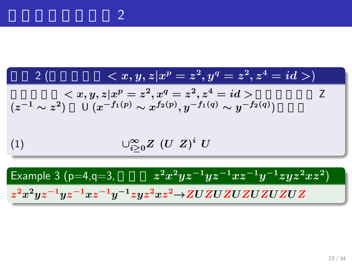. 規則 2 (有限生成群 *< x, y, z|x <sup>p</sup>* **=** *z* **2** *, y<sup>q</sup>* **=** *z* **2** *, z***<sup>4</sup> =** *id >*) . . 有限生成群 *< x, y, z|x <sup>p</sup>* **=** *z* **2** *, x<sup>q</sup>* **=** *z* **2** *, z***<sup>4</sup> =** *id >* の要素を表す Z (*z <sup>−</sup>***<sup>1</sup>** *∼ z* **2** ) U (*x <sup>−</sup>f***1(***p***)** *∼ x f***2(***p***)** *, y−f***1(***q***)** *∼ y −f***2(***q***)** ) に分解 *∪∞ <sup>i</sup>≥***0***<sup>Z</sup>* **(***U Z***)** *i* (1) *U* . Example 3 (p=4,q=3, 文字列 *z* **<sup>2</sup>***x* **<sup>2</sup>***yz−***<sup>1</sup>***yz−***<sup>1</sup>***xz−***<sup>1</sup>***y <sup>−</sup>***<sup>1</sup>***zyz***<sup>2</sup>***xz***<sup>2</sup>** ) . .*z* **2***x* **<sup>2</sup>***yz <sup>−</sup>***1***yz <sup>−</sup>***1***xz <sup>−</sup>***1***y <sup>−</sup>***1***zyz* **<sup>2</sup>***xz* **<sup>2</sup>***→ZUZUZUZUZUZUZ*

標準形導出の規則 2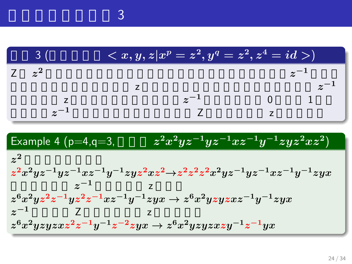|             | $\overline{z}< x,y,z \vert x^p=z^2,y^q=z^2,z^4=id>)^p$ |  |
|-------------|--------------------------------------------------------|--|
| $\approx^2$ |                                                        |  |
|             |                                                        |  |
|             |                                                        |  |
|             |                                                        |  |

Example 4 (p=4,q=3, 
$$
z^2x^2yz^{-1}yz^{-1}xz^{-1}y^{-1}zyz^2xz^2)
$$
  
\n $z^2$   
\n $z^2x^2yz^{-1}yz^{-1}xz^{-1}y^{-1}zyz^2xz^2 \rightarrow z^2z^2z^2x^2yz^{-1}yz^{-1}xz^{-1}y^{-1}zyx$   
\n $z^6x^2yz^2z^{-1}yz^2z^{-1}xz^{-1}y^{-1}zyx \rightarrow z^6x^2yzyzxz^{-1}y^{-1}zyx$   
\n $z^{-1}$   
\n $z^6x^2yzyzxz^2z^{-1}y^{-1}z^{-2}zyx \rightarrow z^6x^2yzyzxzy^{-1}z^{-1}yx$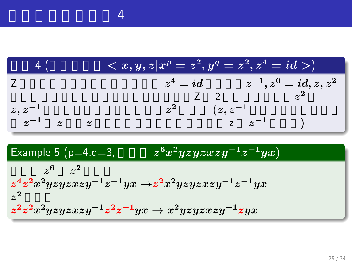

精製作業者

Example 5 (p=4,q=3, 
$$
z^6x^2yzyzxzy^{-1}z^{-1}yx
$$
)  
\n $z^6$   $z^2$   
\n $z^4z^2x^2yzyzxzy^{-1}z^{-1}yx \rightarrow z^2x^2yzyzxzy^{-1}z^{-1}yx$   
\n $z^2$   
\n $z^2z^2x^2yzyzxzy^{-1}z^2z^{-1}yx \rightarrow x^2yzyzxzy^{-1}zyx$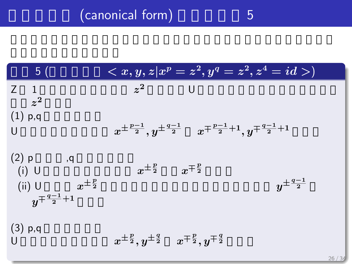# (canonical form) 5

| 5(                                                                                          | $\overline{z} < x, y, z x^p = z^2, y^q = z^2, z^4 = id > 0$                                     |
|---------------------------------------------------------------------------------------------|-------------------------------------------------------------------------------------------------|
| $Z \quad 1$<br>$z^2$                                                                        | $z^2$<br><b>U</b>                                                                               |
| $(1)$ p,q<br>$\mathbf{U}$                                                                   | $x^{\pm \frac{p-1}{2}}, y^{\pm \frac{q-1}{2}} x^{\mp \frac{p-1}{2}+1}, y^{\mp \frac{q-1}{2}+1}$ |
| $(2)$ p<br>, q<br>$(i)$ U<br>$x^{\pm \frac{p}{2}}$<br>$(ii)$ U<br>$y^{\mp \frac{q-1}{2}+1}$ | $x^{\pm \frac{p}{2}}$ $x^{\mp \frac{p}{2}}$<br>$y^{\pm \frac{q-1}{2}}$                          |
| $(3)$ p,q                                                                                   | $x^{\pm \frac{p}{2}}, y^{\pm \frac{q}{2}} \quad x^{\mp \frac{p}{2}}, y^{\mp \frac{q}{2}}$       |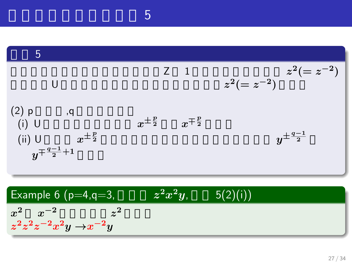.

|                                                                                           | $Z \quad 1$                                 | $z^2(=z^{-2})$ $z^2(=z^{-2})$ |
|-------------------------------------------------------------------------------------------|---------------------------------------------|-------------------------------|
| $(2)$ p<br>, q<br>$(i)$ U<br>$x^{\pm \frac{p}{2}}$<br>(ii) U<br>$y^{\mp \frac{q-1}{2}+1}$ | $x^{\pm \frac{p}{2}}$ $x^{\mp \frac{p}{2}}$ | $y^{\pm\frac{q-1}{2}}$        |

Example 6 (p=4,q=3, 
$$
z^2x^2y
$$
, 5(2)(i))  
\n $x^2$   $x^{-2}$   $z^2$   
\n $z^2z^2z^{-2}x^2y \rightarrow x^{-2}y$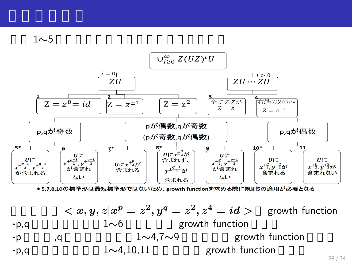

\*5,7,8,10の標準形は最短標準形ではないため、growth functionを求める際に規則5の適用が必要となる

$$
\langle x, y, z | x^p = z^2, y^q = z^2, z^4 = id \rangle \quad \text{growth function}
$$
\n
$$
\begin{array}{ccc}\n\cdot \mathsf{p}, \mathsf{q} & 1 \sim 6 \\
\cdot \mathsf{p} & \mathsf{q} & 1 \sim 4, 7 \sim 9 \\
1 \sim 4, 10, 11 & \text{growth function} & \\
\text{growth function} & & \\
\end{array}
$$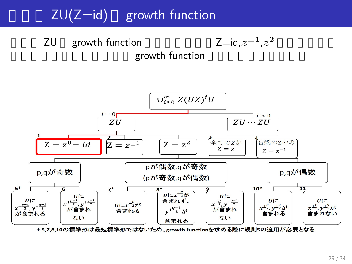# $ZU(Z=id)$  growth function

**ZU** growth function growth function



 $^{\pm 1}$ , $z$ 

**2** 0.000 m

\*5,7,8,10の標準形は最短標準形ではないため、growth functionを求める際に規則5の適用が必要となる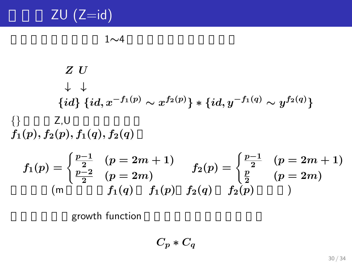# $ZU$  (Z=id)

$$
1{\sim}4
$$

Z U  
\n
$$
\downarrow \qquad \qquad \downarrow
$$
\n{id} {id, x<sup>-f<sub>1</sub>(p)</sup> ~ x<sup>f<sub>2</sub>(p)</sup>} \* {id, y<sup>-f<sub>1</sub>(q)</sup> ~ y<sup>f<sub>2</sub>(q)</sup>}  
\n{ } Z,U  
\nf<sub>1</sub>(p), f<sub>2</sub>(p), f<sub>1</sub>(q), f<sub>2</sub>(q)

$$
f_1(p) = \begin{cases} \frac{p-1}{2} & (p=2m+1) \\ \frac{p-2}{2} & (p=2m) \end{cases} \qquad f_2(p) = \begin{cases} \frac{p-1}{2} & (p=2m+1) \\ \frac{p}{2} & (p=2m) \end{cases}
$$
  
(m)  $f_1(q) = f_1(p) = f_2(q) = f_2(p)$ 

growth function

$$
C_p*C_q
$$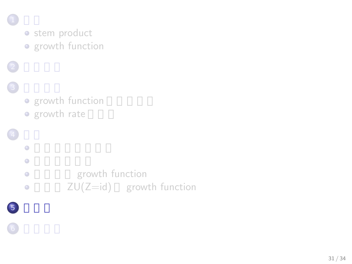

 $\bigodot$ 

 $\begin{pmatrix} 6 \end{pmatrix}$ 

· stem product **o** growth function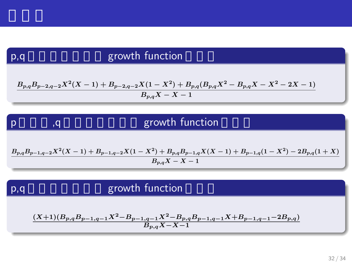## $p, q$

p

### growth function

$$
\frac{B_{p,q}B_{p-2,q-2}X^2(X-1)+B_{p-2,q-2}X(1-X^2)+B_{p,q}(B_{p,q}X^2-B_{p,q}X-X^2-2X-1)}{B_{p,q}X-X-1}
$$

### p  $p$  and  $q$  is the growth function

$$
\frac{B_{p,q}B_{p-1,q-2}X^2(X-1)+B_{p-1,q-2}X(1-X^2)+B_{p,q}B_{p-1,q}X(X-1)+B_{p-1,q}(1-X^2)-2B_{p,q}(1+X)}{B_{p,q}X-X-1}
$$

### p,q

## growth function

$$
\frac{(X+1)(B_{p,q}B_{p-1,q-1}X^2-B_{p-1,q-1}X^2-B_{p,q}B_{p-1,q-1}X+B_{p-1,q-1}-2B_{p,q})}{B_{p,q}X-X-1}
$$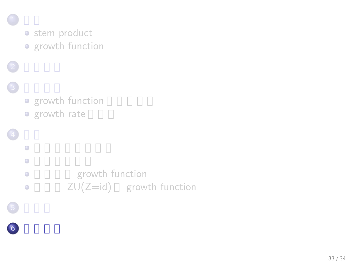

 $\bigodot$ 

 $\begin{pmatrix} 6 \end{pmatrix}$ 

· stem product **o** growth function